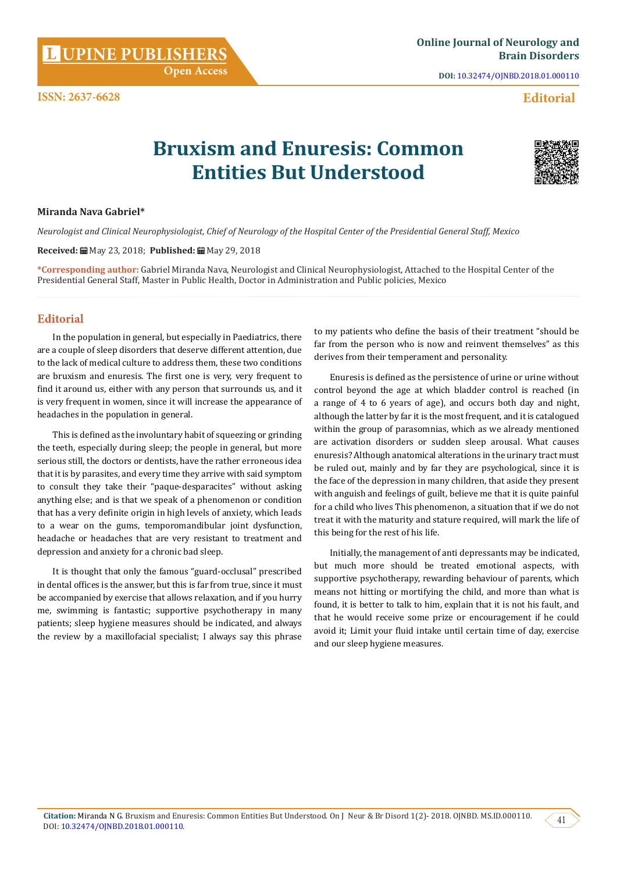**Citation: Miranda N G. Bruxism and Enuresis: Common Entities But Understood. On J Neur & Br Disord 1(2)- 2018. OJNBD. MS.ID.000110. (41)<br>DOI: [10.32474/OJNBD.2018.01.000110.](http://dx.doi.org/10.32474/OJNBD.2018.01.000110)** 

**Miranda Nava Gabriel\***

**DOI:** [10.32474/OJNBD.2018.01.000110](http://dx.doi.org/10.32474/OJNBD.2018.01.000110)

### **Editorial**

# **Bruxism and Enuresis: Common Entities But Understood**

## **Received:** May 23, 2018; **Published:** May 29, 2018

*Neurologist and Clinical Neurophysiologist, Chief of Neurology of the Hospital Center of the Presidential General Staff, Mexico*

**\*Corresponding author:** Gabriel Miranda Nava, Neurologist and Clinical Neurophysiologist, Attached to the Hospital Center of the Presidential General Staff, Master in Public Health, Doctor in Administration and Public policies, Mexico

### **Editorial**

In the population in general, but especially in Paediatrics, there are a couple of sleep disorders that deserve different attention, due to the lack of medical culture to address them, these two conditions are bruxism and enuresis. The first one is very, very frequent to find it around us, either with any person that surrounds us, and it is very frequent in women, since it will increase the appearance of headaches in the population in general.

This is defined as the involuntary habit of squeezing or grinding the teeth, especially during sleep; the people in general, but more serious still, the doctors or dentists, have the rather erroneous idea that it is by parasites, and every time they arrive with said symptom to consult they take their "paque-desparacites" without asking anything else; and is that we speak of a phenomenon or condition that has a very definite origin in high levels of anxiety, which leads to a wear on the gums, temporomandibular joint dysfunction, headache or headaches that are very resistant to treatment and depression and anxiety for a chronic bad sleep.

It is thought that only the famous "guard-occlusal" prescribed in dental offices is the answer, but this is far from true, since it must be accompanied by exercise that allows relaxation, and if you hurry me, swimming is fantastic; supportive psychotherapy in many patients; sleep hygiene measures should be indicated, and always the review by a maxillofacial specialist; I always say this phrase

to my patients who define the basis of their treatment "should be far from the person who is now and reinvent themselves" as this derives from their temperament and personality.

Enuresis is defined as the persistence of urine or urine without control beyond the age at which bladder control is reached (in a range of 4 to 6 years of age), and occurs both day and night, although the latter by far it is the most frequent, and it is catalogued within the group of parasomnias, which as we already mentioned are activation disorders or sudden sleep arousal. What causes enuresis? Although anatomical alterations in the urinary tract must be ruled out, mainly and by far they are psychological, since it is the face of the depression in many children, that aside they present with anguish and feelings of guilt, believe me that it is quite painful for a child who lives This phenomenon, a situation that if we do not treat it with the maturity and stature required, will mark the life of this being for the rest of his life.

Initially, the management of anti depressants may be indicated, but much more should be treated emotional aspects, with supportive psychotherapy, rewarding behaviour of parents, which means not hitting or mortifying the child, and more than what is found, it is better to talk to him, explain that it is not his fault, and that he would receive some prize or encouragement if he could avoid it; Limit your fluid intake until certain time of day, exercise and our sleep hygiene measures.